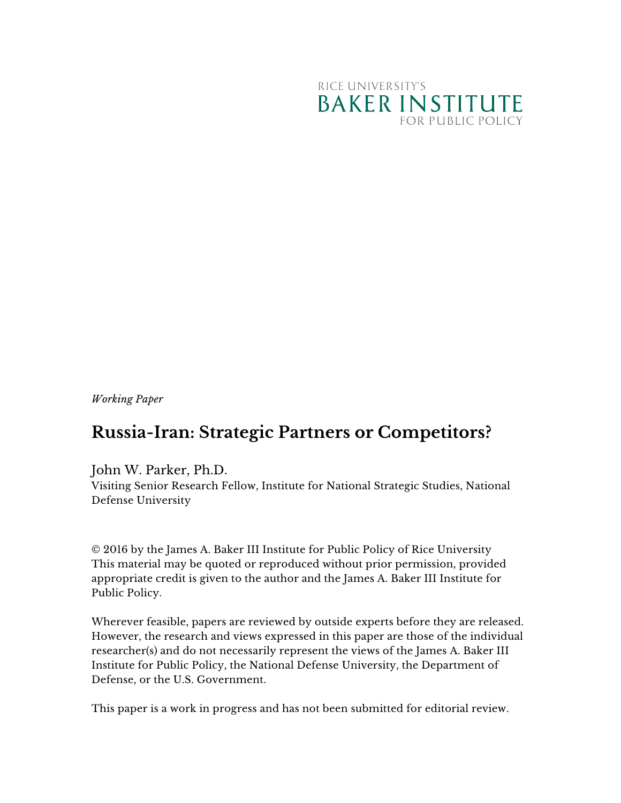

*Working Paper*

## **Russia-Iran: Strategic Partners or Competitors?**

## John W. Parker, Ph.D.

Visiting Senior Research Fellow, Institute for National Strategic Studies, National Defense University

© 2016 by the James A. Baker III Institute for Public Policy of Rice University This material may be quoted or reproduced without prior permission, provided appropriate credit is given to the author and the James A. Baker III Institute for Public Policy.

Wherever feasible, papers are reviewed by outside experts before they are released. However, the research and views expressed in this paper are those of the individual researcher(s) and do not necessarily represent the views of the James A. Baker III Institute for Public Policy, the National Defense University, the Department of Defense, or the U.S. Government.

This paper is a work in progress and has not been submitted for editorial review.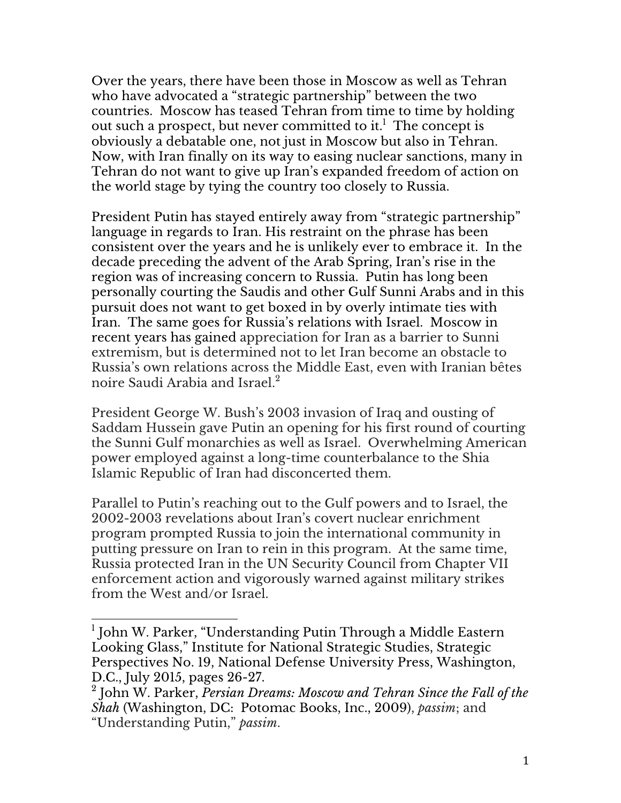Over the years, there have been those in Moscow as well as Tehran who have advocated a "strategic partnership" between the two countries. Moscow has teased Tehran from time to time by holding out such a prospect, but never committed to it.<sup>1</sup> The concept is obviously a debatable one, not just in Moscow but also in Tehran. Now, with Iran finally on its way to easing nuclear sanctions, many in Tehran do not want to give up Iran's expanded freedom of action on the world stage by tying the country too closely to Russia.

President Putin has stayed entirely away from "strategic partnership" language in regards to Iran. His restraint on the phrase has been consistent over the years and he is unlikely ever to embrace it. In the decade preceding the advent of the Arab Spring, Iran's rise in the region was of increasing concern to Russia. Putin has long been personally courting the Saudis and other Gulf Sunni Arabs and in this pursuit does not want to get boxed in by overly intimate ties with Iran. The same goes for Russia's relations with Israel. Moscow in recent years has gained appreciation for Iran as a barrier to Sunni extremism, but is determined not to let Iran become an obstacle to Russia's own relations across the Middle East, even with Iranian bêtes noire Saudi Arabia and Israel. $^2$ 

President George W. Bush's 2003 invasion of Iraq and ousting of Saddam Hussein gave Putin an opening for his first round of courting the Sunni Gulf monarchies as well as Israel. Overwhelming American power employed against a long-time counterbalance to the Shia Islamic Republic of Iran had disconcerted them.

Parallel to Putin's reaching out to the Gulf powers and to Israel, the 2002-2003 revelations about Iran's covert nuclear enrichment program prompted Russia to join the international community in putting pressure on Iran to rein in this program. At the same time, Russia protected Iran in the UN Security Council from Chapter VII enforcement action and vigorously warned against military strikes from the West and/or Israel.

 <sup>1</sup> John W. Parker, "Understanding Putin Through a Middle Eastern Looking Glass," Institute for National Strategic Studies, Strategic Perspectives No. 19, National Defense University Press, Washington, D.C., July 2015, pages 26-27.

<sup>2</sup> John W. Parker, *Persian Dreams: Moscow and Tehran Since the Fall of the Shah* (Washington, DC: Potomac Books, Inc., 2009), *passim*; and "Understanding Putin," *passim*.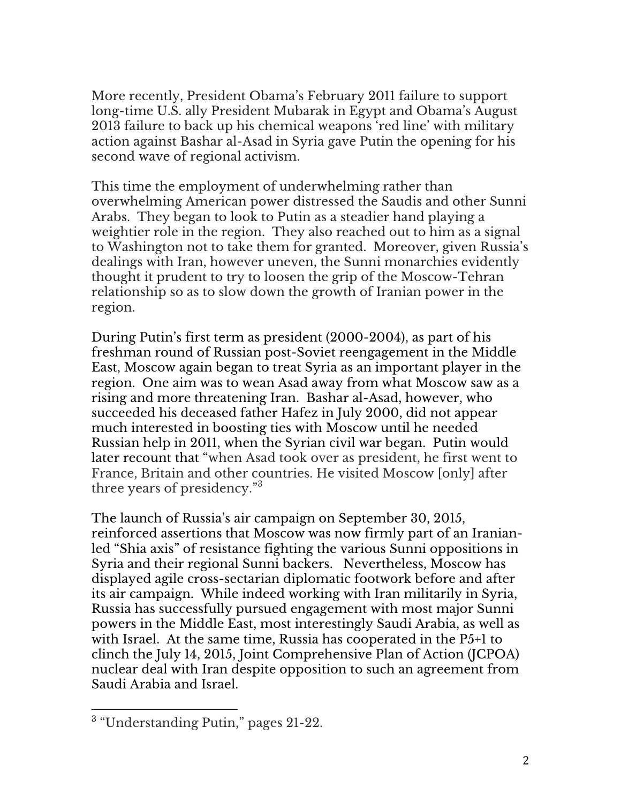More recently, President Obama's February 2011 failure to support long-time U.S. ally President Mubarak in Egypt and Obama's August 2013 failure to back up his chemical weapons 'red line' with military action against Bashar al-Asad in Syria gave Putin the opening for his second wave of regional activism.

This time the employment of underwhelming rather than overwhelming American power distressed the Saudis and other Sunni Arabs. They began to look to Putin as a steadier hand playing a weightier role in the region. They also reached out to him as a signal to Washington not to take them for granted. Moreover, given Russia's dealings with Iran, however uneven, the Sunni monarchies evidently thought it prudent to try to loosen the grip of the Moscow-Tehran relationship so as to slow down the growth of Iranian power in the region.

During Putin's first term as president (2000-2004), as part of his freshman round of Russian post-Soviet reengagement in the Middle East, Moscow again began to treat Syria as an important player in the region. One aim was to wean Asad away from what Moscow saw as a rising and more threatening Iran. Bashar al-Asad, however, who succeeded his deceased father Hafez in July 2000, did not appear much interested in boosting ties with Moscow until he needed Russian help in 2011, when the Syrian civil war began. Putin would later recount that "when Asad took over as president, he first went to France, Britain and other countries. He visited Moscow [only] after three years of presidency."<sup>3</sup>

The launch of Russia's air campaign on September 30, 2015, reinforced assertions that Moscow was now firmly part of an Iranianled "Shia axis" of resistance fighting the various Sunni oppositions in Syria and their regional Sunni backers. Nevertheless, Moscow has displayed agile cross-sectarian diplomatic footwork before and after its air campaign. While indeed working with Iran militarily in Syria, Russia has successfully pursued engagement with most major Sunni powers in the Middle East, most interestingly Saudi Arabia, as well as with Israel. At the same time, Russia has cooperated in the P5+1 to clinch the July 14, 2015, Joint Comprehensive Plan of Action (JCPOA) nuclear deal with Iran despite opposition to such an agreement from Saudi Arabia and Israel.

 

 $^3$  "Understanding Putin," pages 21-22.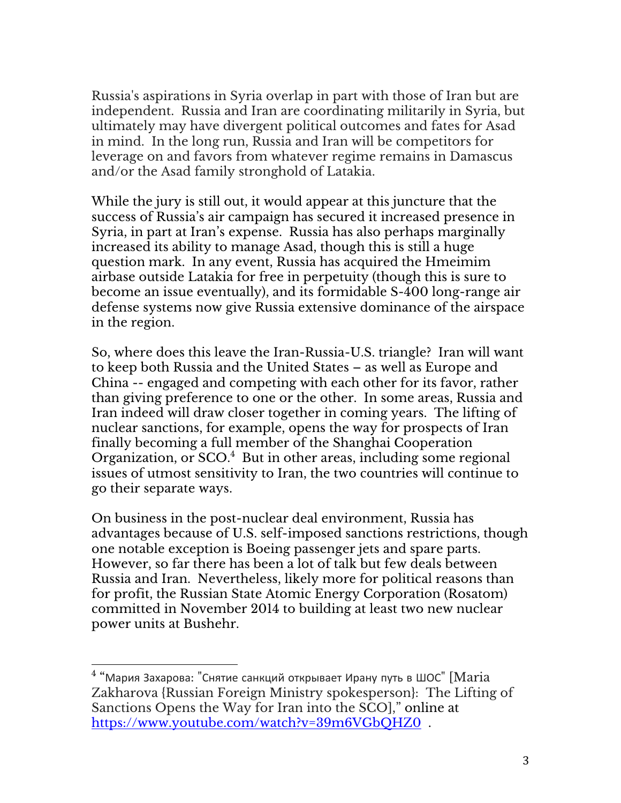Russia's aspirations in Syria overlap in part with those of Iran but are independent. Russia and Iran are coordinating militarily in Syria, but ultimately may have divergent political outcomes and fates for Asad in mind. In the long run, Russia and Iran will be competitors for leverage on and favors from whatever regime remains in Damascus and/or the Asad family stronghold of Latakia.

While the jury is still out, it would appear at this juncture that the success of Russia's air campaign has secured it increased presence in Syria, in part at Iran's expense. Russia has also perhaps marginally increased its ability to manage Asad, though this is still a huge question mark. In any event, Russia has acquired the Hmeimim airbase outside Latakia for free in perpetuity (though this is sure to become an issue eventually), and its formidable S-400 long-range air defense systems now give Russia extensive dominance of the airspace in the region.

So, where does this leave the Iran-Russia-U.S. triangle? Iran will want to keep both Russia and the United States – as well as Europe and China -- engaged and competing with each other for its favor, rather than giving preference to one or the other. In some areas, Russia and Iran indeed will draw closer together in coming years. The lifting of nuclear sanctions, for example, opens the way for prospects of Iran finally becoming a full member of the Shanghai Cooperation Organization, or SCO.<sup>4</sup> But in other areas, including some regional issues of utmost sensitivity to Iran, the two countries will continue to go their separate ways.

On business in the post-nuclear deal environment, Russia has advantages because of U.S. self-imposed sanctions restrictions, though one notable exception is Boeing passenger jets and spare parts. However, so far there has been a lot of talk but few deals between Russia and Iran. Nevertheless, likely more for political reasons than for profit, the Russian State Atomic Energy Corporation (Rosatom) committed in November 2014 to building at least two new nuclear power units at Bushehr.

 

 $4$  "Мария Захарова: "Снятие санкций открывает Ирану путь в ШОС" [Maria Zakharova {Russian Foreign Ministry spokesperson}: The Lifting of Sanctions Opens the Way for Iran into the SCO]," online at https://www.youtube.com/watch?v=39m6VGbQHZ0 .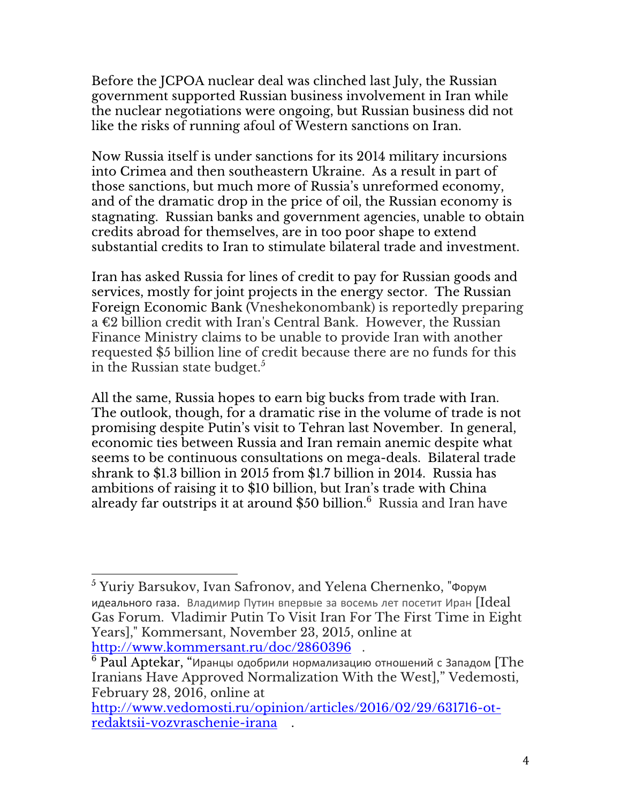Before the JCPOA nuclear deal was clinched last July, the Russian government supported Russian business involvement in Iran while the nuclear negotiations were ongoing, but Russian business did not like the risks of running afoul of Western sanctions on Iran.

Now Russia itself is under sanctions for its 2014 military incursions into Crimea and then southeastern Ukraine. As a result in part of those sanctions, but much more of Russia's unreformed economy, and of the dramatic drop in the price of oil, the Russian economy is stagnating. Russian banks and government agencies, unable to obtain credits abroad for themselves, are in too poor shape to extend substantial credits to Iran to stimulate bilateral trade and investment.

Iran has asked Russia for lines of credit to pay for Russian goods and services, mostly for joint projects in the energy sector. The Russian Foreign Economic Bank (Vneshekonombank) is reportedly preparing a €2 billion credit with Iran's Central Bank. However, the Russian Finance Ministry claims to be unable to provide Iran with another requested \$5 billion line of credit because there are no funds for this in the Russian state budget. $^5$ 

All the same, Russia hopes to earn big bucks from trade with Iran. The outlook, though, for a dramatic rise in the volume of trade is not promising despite Putin's visit to Tehran last November. In general, economic ties between Russia and Iran remain anemic despite what seems to be continuous consultations on mega-deals. Bilateral trade shrank to \$1.3 billion in 2015 from \$1.7 billion in 2014. Russia has ambitions of raising it to \$10 billion, but Iran's trade with China already far outstrips it at around \$50 billion.<sup>6</sup> Russia and Iran have

  $^5$  Yuriy Barsukov, Ivan Safronov, and Yelena Chernenko, "Форум идеального газа. Владимир Путин впервые за восемь лет посетит Иран  $[Ideal]$ Gas Forum. Vladimir Putin To Visit Iran For The First Time in Eight Years]," Kommersant, November 23, 2015, online at http://www.kommersant.ru/doc/2860396 .

 $^6$  Paul Aptekar, "Иранцы одобрили нормализацию отношений с Западом [The Iranians Have Approved Normalization With the West]," Vedemosti, February 28, 2016, online at

http://www.vedomosti.ru/opinion/articles/2016/02/29/631716-otredaktsii-vozvraschenie-irana .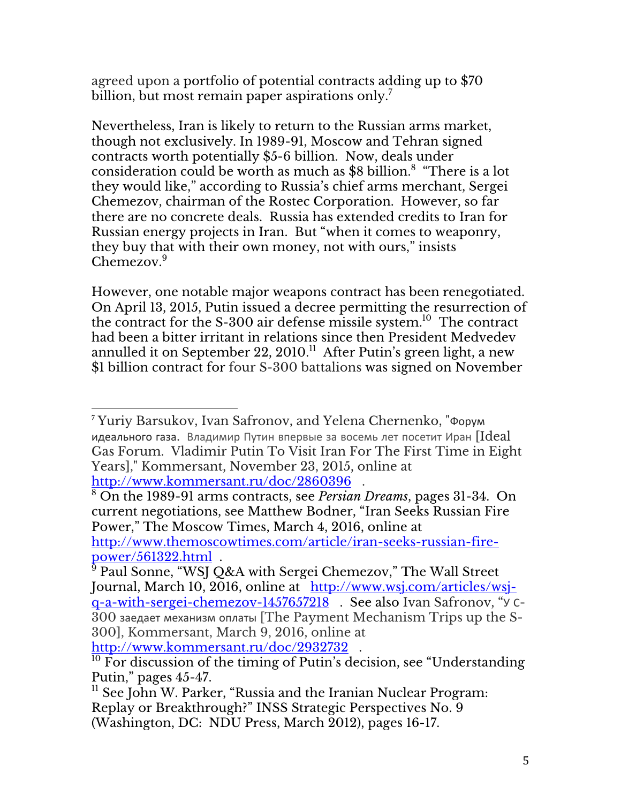agreed upon a portfolio of potential contracts adding up to \$70 billion, but most remain paper aspirations only. $^7\,$ 

Nevertheless, Iran is likely to return to the Russian arms market, though not exclusively. In 1989-91, Moscow and Tehran signed contracts worth potentially \$5-6 billion. Now, deals under consideration could be worth as much as \$8 billion.<sup>8</sup> "There is a lot they would like," according to Russia's chief arms merchant, Sergei Chemezov, chairman of the Rostec Corporation. However, so far there are no concrete deals. Russia has extended credits to Iran for Russian energy projects in Iran. But "when it comes to weaponry, they buy that with their own money, not with ours," insists Chemezov.<sup>9</sup>

However, one notable major weapons contract has been renegotiated. On April 13, 2015, Putin issued a decree permitting the resurrection of the contract for the S-300 air defense missile system.<sup>10</sup> The contract had been a bitter irritant in relations since then President Medvedev annulled it on September 22,  $2010$ .<sup>11</sup> After Putin's green light, a new \$1 billion contract for four S-300 battalions was signed on November

 <sup>7</sup> Yuriy Barsukov, Ivan Safronov, and Yelena Chernenko, "Форум идеального газа. Владимир Путин впервые за восемь лет посетит Иран [Ideal] Gas Forum. Vladimir Putin To Visit Iran For The First Time in Eight Years]," Kommersant, November 23, 2015, online at http://www.kommersant.ru/doc/2860396 .

<sup>8</sup> On the 1989-91 arms contracts, see *Persian Dreams*, pages 31-34. On current negotiations, see Matthew Bodner, "Iran Seeks Russian Fire Power," The Moscow Times, March 4, 2016, online at http://www.themoscowtimes.com/article/iran-seeks-russian-firepower/561322.html .

<sup>&</sup>lt;sup>5</sup> Paul Sonne, "WSJ Q&A with Sergei Chemezov," The Wall Street Journal, March 10, 2016, online at http://www.wsj.com/articles/wsjq-a-with-sergei-chemezov-1457657218 . See also Ivan Safronov, "У С-300 заедает механизм оплаты [The Payment Mechanism Trips up the S-300], Kommersant, March 9, 2016, online at http://www.kommersant.ru/doc/2932732 .

 $\overline{10}$  For discussion of the timing of Putin's decision, see "Understanding Putin," pages 45-47.

<sup>&</sup>lt;sup>11</sup> See John W. Parker, "Russia and the Iranian Nuclear Program: Replay or Breakthrough?" INSS Strategic Perspectives No. 9 (Washington, DC: NDU Press, March 2012), pages 16-17.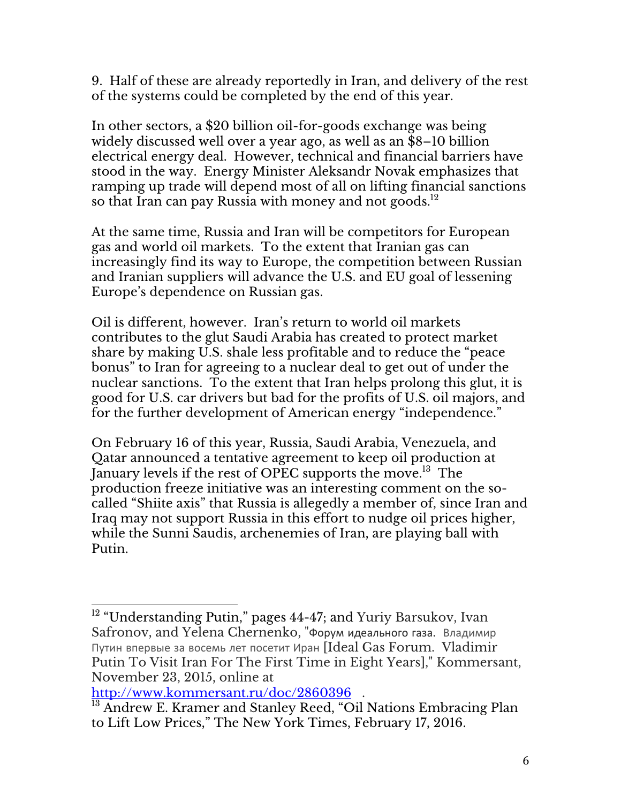9. Half of these are already reportedly in Iran, and delivery of the rest of the systems could be completed by the end of this year.

In other sectors, a \$20 billion oil-for-goods exchange was being widely discussed well over a year ago, as well as an \$8–10 billion electrical energy deal. However, technical and financial barriers have stood in the way. Energy Minister Aleksandr Novak emphasizes that ramping up trade will depend most of all on lifting financial sanctions so that Iran can pay Russia with money and not goods.<sup>12</sup>

At the same time, Russia and Iran will be competitors for European gas and world oil markets. To the extent that Iranian gas can increasingly find its way to Europe, the competition between Russian and Iranian suppliers will advance the U.S. and EU goal of lessening Europe's dependence on Russian gas.

Oil is different, however. Iran's return to world oil markets contributes to the glut Saudi Arabia has created to protect market share by making U.S. shale less profitable and to reduce the "peace bonus" to Iran for agreeing to a nuclear deal to get out of under the nuclear sanctions. To the extent that Iran helps prolong this glut, it is good for U.S. car drivers but bad for the profits of U.S. oil majors, and for the further development of American energy "independence."

On February 16 of this year, Russia, Saudi Arabia, Venezuela, and Qatar announced a tentative agreement to keep oil production at January levels if the rest of OPEC supports the move.<sup>13</sup> The production freeze initiative was an interesting comment on the socalled "Shiite axis" that Russia is allegedly a member of, since Iran and Iraq may not support Russia in this effort to nudge oil prices higher, while the Sunni Saudis, archenemies of Iran, are playing ball with Putin.

http://www.kommersant.ru/doc/2860396

  $^{12}$  "Understanding Putin," pages 44-47; and Yuriy Barsukov, Ivan Safronov, and Yelena Chernenko, "Форум идеального газа. Владимир Путин впервые за восемь лет посетит Иран [Ideal Gas Forum. Vladimir Putin To Visit Iran For The First Time in Eight Years]," Kommersant, November 23, 2015, online at

<sup>&</sup>lt;sup>13</sup> Andrew E. Kramer and Stanley Reed, "Oil Nations Embracing Plan to Lift Low Prices," The New York Times, February 17, 2016.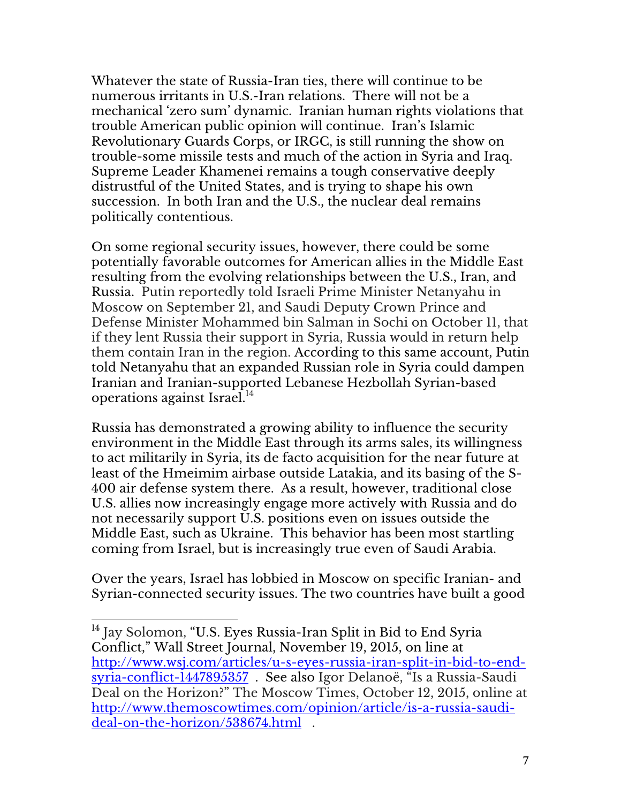Whatever the state of Russia-Iran ties, there will continue to be numerous irritants in U.S.-Iran relations. There will not be a mechanical 'zero sum' dynamic. Iranian human rights violations that trouble American public opinion will continue. Iran's Islamic Revolutionary Guards Corps, or IRGC, is still running the show on trouble-some missile tests and much of the action in Syria and Iraq. Supreme Leader Khamenei remains a tough conservative deeply distrustful of the United States, and is trying to shape his own succession. In both Iran and the U.S., the nuclear deal remains politically contentious.

On some regional security issues, however, there could be some potentially favorable outcomes for American allies in the Middle East resulting from the evolving relationships between the U.S., Iran, and Russia. Putin reportedly told Israeli Prime Minister Netanyahu in Moscow on September 21, and Saudi Deputy Crown Prince and Defense Minister Mohammed bin Salman in Sochi on October 11, that if they lent Russia their support in Syria, Russia would in return help them contain Iran in the region. According to this same account, Putin told Netanyahu that an expanded Russian role in Syria could dampen Iranian and Iranian-supported Lebanese Hezbollah Syrian-based operations against Israel. $14$ 

Russia has demonstrated a growing ability to influence the security environment in the Middle East through its arms sales, its willingness to act militarily in Syria, its de facto acquisition for the near future at least of the Hmeimim airbase outside Latakia, and its basing of the S-400 air defense system there. As a result, however, traditional close U.S. allies now increasingly engage more actively with Russia and do not necessarily support U.S. positions even on issues outside the Middle East, such as Ukraine. This behavior has been most startling coming from Israel, but is increasingly true even of Saudi Arabia.

Over the years, Israel has lobbied in Moscow on specific Iranian- and Syrian-connected security issues. The two countries have built a good

 

<sup>&</sup>lt;sup>14</sup> Jay Solomon, "U.S. Eyes Russia-Iran Split in Bid to End Syria Conflict," Wall Street Journal, November 19, 2015, on line at http://www.wsj.com/articles/u-s-eyes-russia-iran-split-in-bid-to-endsyria-conflict-1447895357 . See also Igor Delanoë, "Is a Russia-Saudi Deal on the Horizon?" The Moscow Times, October 12, 2015, online at http://www.themoscowtimes.com/opinion/article/is-a-russia-saudideal-on-the-horizon/538674.html .